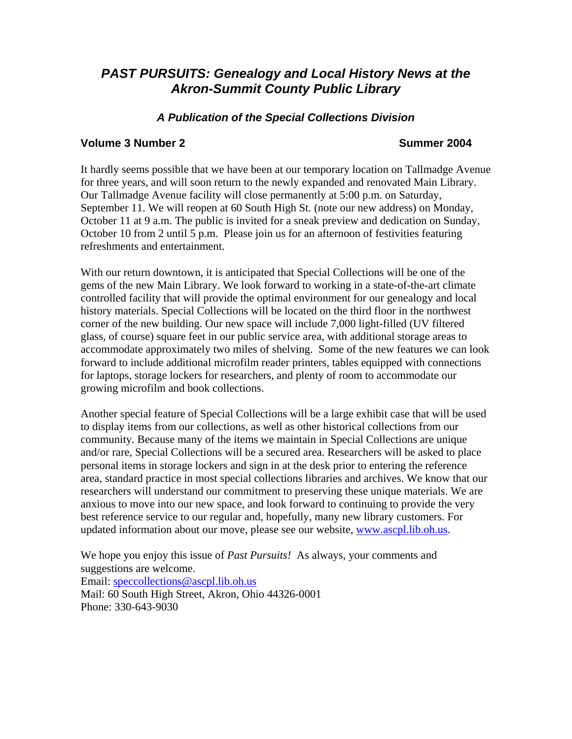# *PAST PURSUITS: Genealogy and Local History News at the Akron-Summit County Public Library*

## *A Publication of the Special Collections Division*

#### **Volume 3 Number 2 Summer 2004**

It hardly seems possible that we have been at our temporary location on Tallmadge Avenue for three years, and will soon return to the newly expanded and renovated Main Library. Our Tallmadge Avenue facility will close permanently at 5:00 p.m. on Saturday, September 11. We will reopen at 60 South High St. (note our new address) on Monday, October 11 at 9 a.m. The public is invited for a sneak preview and dedication on Sunday, October 10 from 2 until 5 p.m. Please join us for an afternoon of festivities featuring refreshments and entertainment.

With our return downtown, it is anticipated that Special Collections will be one of the gems of the new Main Library. We look forward to working in a state-of-the-art climate controlled facility that will provide the optimal environment for our genealogy and local history materials. Special Collections will be located on the third floor in the northwest corner of the new building. Our new space will include 7,000 light-filled (UV filtered glass, of course) square feet in our public service area, with additional storage areas to accommodate approximately two miles of shelving. Some of the new features we can look forward to include additional microfilm reader printers, tables equipped with connections for laptops, storage lockers for researchers, and plenty of room to accommodate our growing microfilm and book collections.

Another special feature of Special Collections will be a large exhibit case that will be used to display items from our collections, as well as other historical collections from our community. Because many of the items we maintain in Special Collections are unique and/or rare, Special Collections will be a secured area. Researchers will be asked to place personal items in storage lockers and sign in at the desk prior to entering the reference area, standard practice in most special collections libraries and archives. We know that our researchers will understand our commitment to preserving these unique materials. We are anxious to move into our new space, and look forward to continuing to provide the very best reference service to our regular and, hopefully, many new library customers. For updated information about our move, please see our website, [www.ascpl.lib.oh.us](http://www.ascpl.lib.oh.us/).

We hope you enjoy this issue of *Past Pursuits!* As always, your comments and suggestions are welcome. Email: [speccollections@ascpl.lib.oh.us](mailto:speccollections@ascpl.lib.oh.us) Mail: 60 South High Street, Akron, Ohio 44326-0001 Phone: 330-643-9030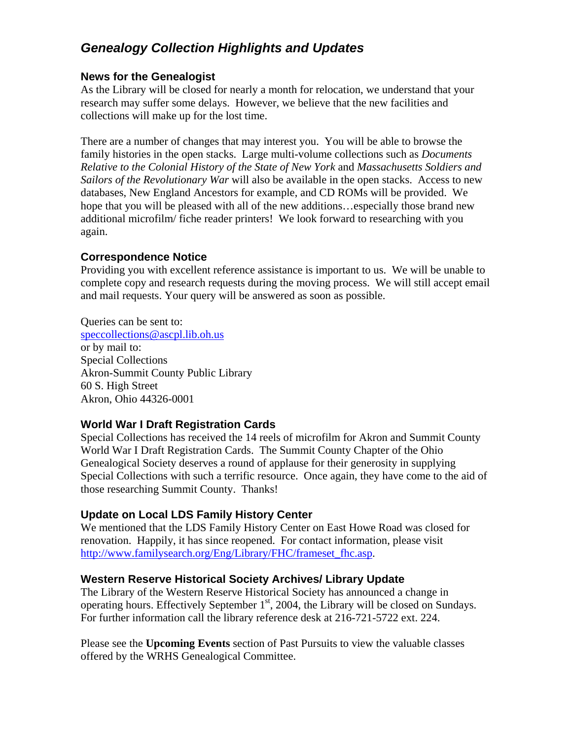# *Genealogy Collection Highlights and Updates*

## **News for the Genealogist**

As the Library will be closed for nearly a month for relocation, we understand that your research may suffer some delays. However, we believe that the new facilities and collections will make up for the lost time.

There are a number of changes that may interest you. You will be able to browse the family histories in the open stacks. Large multi-volume collections such as *Documents Relative to the Colonial History of the State of New York* and *Massachusetts Soldiers and Sailors of the Revolutionary War* will also be available in the open stacks. Access to new databases, New England Ancestors for example, and CD ROMs will be provided. We hope that you will be pleased with all of the new additions...especially those brand new additional microfilm/ fiche reader printers! We look forward to researching with you again.

## **Correspondence Notice**

Providing you with excellent reference assistance is important to us. We will be unable to complete copy and research requests during the moving process. We will still accept email and mail requests. Your query will be answered as soon as possible.

Queries can be sent to: [speccollections@ascpl.lib.oh.us](mailto:speccollections@ascpl.lib.oh.us) or by mail to: Special Collections Akron-Summit County Public Library 60 S. High Street Akron, Ohio 44326-0001

## **World War I Draft Registration Cards**

Special Collections has received the 14 reels of microfilm for Akron and Summit County World War I Draft Registration Cards. The Summit County Chapter of the Ohio Genealogical Society deserves a round of applause for their generosity in supplying Special Collections with such a terrific resource. Once again, they have come to the aid of those researching Summit County. Thanks!

## **Update on Local LDS Family History Center**

We mentioned that the LDS Family History Center on East Howe Road was closed for renovation. Happily, it has since reopened. For contact information, please visit [http://www.familysearch.org/Eng/Library/FHC/frameset\\_fhc.asp.](http://www.familysearch.org/Eng/Library/FHC/frameset_fhc.asp)

## **Western Reserve Historical Society Archives/ Library Update**

The Library of the Western Reserve Historical Society has announced a change in operating hours. Effectively September  $1<sup>st</sup>$ , 2004, the Library will be closed on Sundays. For further information call the library reference desk at 216-721-5722 ext. 224.

Please see the **Upcoming Events** section of Past Pursuits to view the valuable classes offered by the WRHS Genealogical Committee.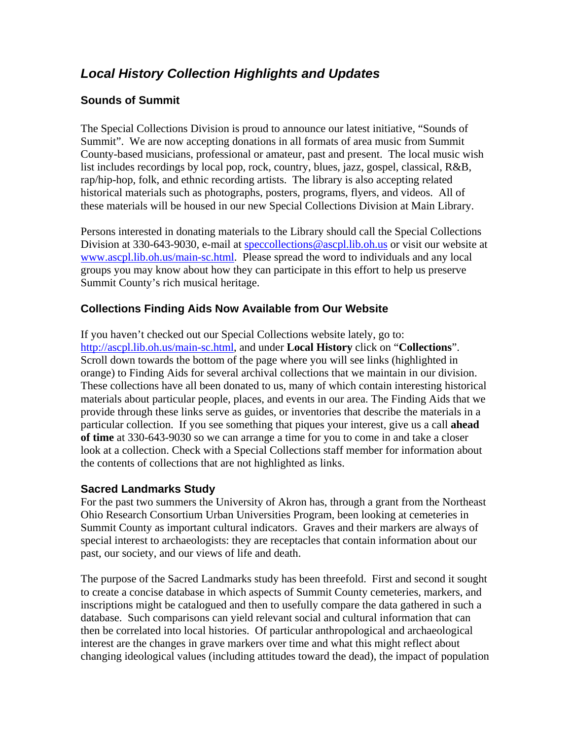# *Local History Collection Highlights and Updates*

## **Sounds of Summit**

The Special Collections Division is proud to announce our latest initiative, "Sounds of Summit". We are now accepting donations in all formats of area music from Summit County-based musicians, professional or amateur, past and present. The local music wish list includes recordings by local pop, rock, country, blues, jazz, gospel, classical, R&B, rap/hip-hop, folk, and ethnic recording artists. The library is also accepting related historical materials such as photographs, posters, programs, flyers, and videos. All of these materials will be housed in our new Special Collections Division at Main Library.

Persons interested in donating materials to the Library should call the Special Collections Division at 330-643-9030, e-mail at [speccollections@ascpl.lib.oh.us](mailto:speccollections@ascpl.lib.oh.us) or visit our website at [www.ascpl.lib.oh.us/main-sc.html.](http://www.ascpl.lib.oh.us/main-sc.html) Please spread the word to individuals and any local groups you may know about how they can participate in this effort to help us preserve Summit County's rich musical heritage.

## **Collections Finding Aids Now Available from Our Website**

If you haven't checked out our Special Collections website lately, go to: <http://ascpl.lib.oh.us/main-sc.html>, and under **Local History** click on "**Collections**". Scroll down towards the bottom of the page where you will see links (highlighted in orange) to Finding Aids for several archival collections that we maintain in our division. These collections have all been donated to us, many of which contain interesting historical materials about particular people, places, and events in our area. The Finding Aids that we provide through these links serve as guides, or inventories that describe the materials in a particular collection. If you see something that piques your interest, give us a call **ahead of time** at 330-643-9030 so we can arrange a time for you to come in and take a closer look at a collection. Check with a Special Collections staff member for information about the contents of collections that are not highlighted as links.

## **Sacred Landmarks Study**

For the past two summers the University of Akron has, through a grant from the Northeast Ohio Research Consortium Urban Universities Program, been looking at cemeteries in Summit County as important cultural indicators. Graves and their markers are always of special interest to archaeologists: they are receptacles that contain information about our past, our society, and our views of life and death.

The purpose of the Sacred Landmarks study has been threefold. First and second it sought to create a concise database in which aspects of Summit County cemeteries, markers, and inscriptions might be catalogued and then to usefully compare the data gathered in such a database. Such comparisons can yield relevant social and cultural information that can then be correlated into local histories. Of particular anthropological and archaeological interest are the changes in grave markers over time and what this might reflect about changing ideological values (including attitudes toward the dead), the impact of population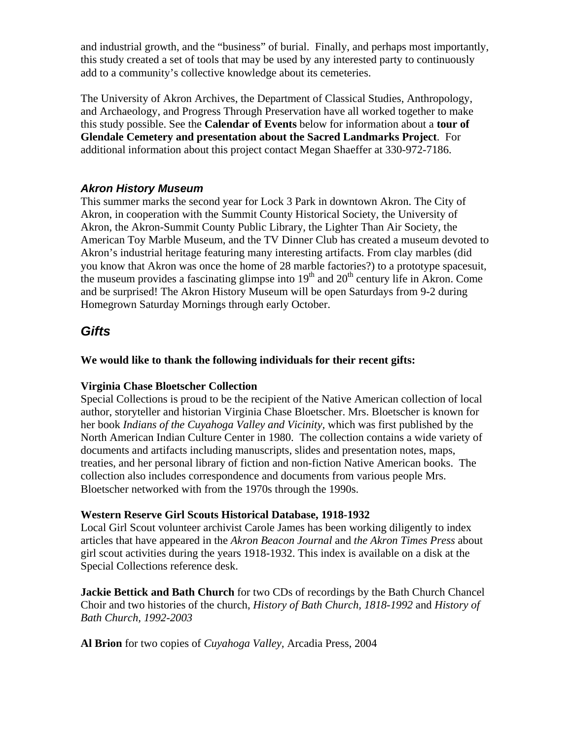and industrial growth, and the "business" of burial. Finally, and perhaps most importantly, this study created a set of tools that may be used by any interested party to continuously add to a community's collective knowledge about its cemeteries.

The University of Akron Archives, the Department of Classical Studies, Anthropology, and Archaeology, and Progress Through Preservation have all worked together to make this study possible. See the **Calendar of Events** below for information about a **tour of Glendale Cemetery and presentation about the Sacred Landmarks Project**. For additional information about this project contact Megan Shaeffer at 330-972-7186.

## *Akron History Museum*

This summer marks the second year for Lock 3 Park in downtown Akron. The City of Akron, in cooperation with the Summit County Historical Society, the University of Akron, the Akron-Summit County Public Library, the Lighter Than Air Society, the American Toy Marble Museum, and the TV Dinner Club has created a museum devoted to Akron's industrial heritage featuring many interesting artifacts. From clay marbles (did you know that Akron was once the home of 28 marble factories?) to a prototype spacesuit, the museum provides a fascinating glimpse into  $19<sup>th</sup>$  and  $20<sup>th</sup>$  century life in Akron. Come and be surprised! The Akron History Museum will be open Saturdays from 9-2 during Homegrown Saturday Mornings through early October.

## *Gifts*

**We would like to thank the following individuals for their recent gifts:** 

## **Virginia Chase Bloetscher Collection**

Special Collections is proud to be the recipient of the Native American collection of local author, storyteller and historian Virginia Chase Bloetscher. Mrs. Bloetscher is known for her book *Indians of the Cuyahoga Valley and Vicinity,* which was first published by the North American Indian Culture Center in 1980. The collection contains a wide variety of documents and artifacts including manuscripts, slides and presentation notes, maps, treaties, and her personal library of fiction and non-fiction Native American books. The collection also includes correspondence and documents from various people Mrs. Bloetscher networked with from the 1970s through the 1990s.

## **Western Reserve Girl Scouts Historical Database, 1918-1932**

Local Girl Scout volunteer archivist Carole James has been working diligently to index articles that have appeared in the *Akron Beacon Journal* and *the Akron Times Press* about girl scout activities during the years 1918-1932. This index is available on a disk at the Special Collections reference desk.

**Jackie Bettick and Bath Church** for two CDs of recordings by the Bath Church Chancel Choir and two histories of the church, *History of Bath Church, 1818-1992* and *History of Bath Church, 1992-2003* 

**Al Brion** for two copies of *Cuyahoga Valley,* Arcadia Press, 2004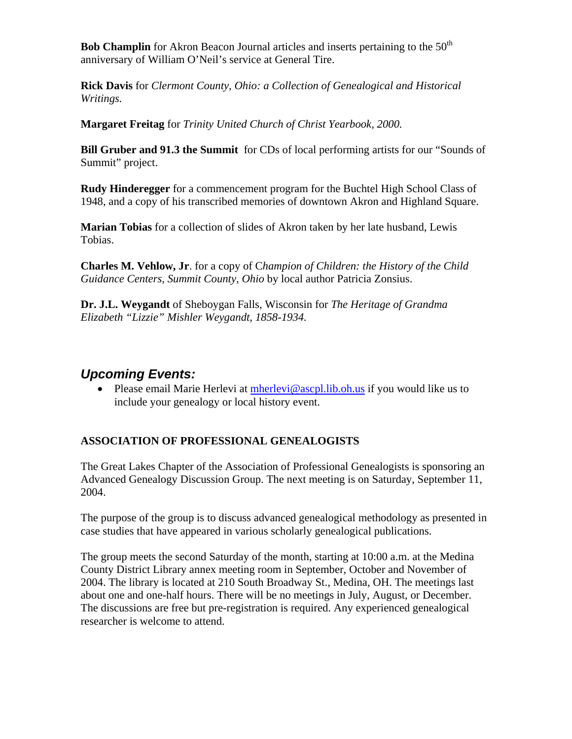**Bob Champlin** for Akron Beacon Journal articles and inserts pertaining to the 50<sup>th</sup> anniversary of William O'Neil's service at General Tire.

**Rick Davis** for *Clermont County, Ohio: a Collection of Genealogical and Historical Writings.* 

**Margaret Freitag** for *Trinity United Church of Christ Yearbook, 2000.* 

**Bill Gruber and 91.3 the Summit** for CDs of local performing artists for our "Sounds of Summit" project.

**Rudy Hinderegger** for a commencement program for the Buchtel High School Class of 1948, and a copy of his transcribed memories of downtown Akron and Highland Square.

**Marian Tobias** for a collection of slides of Akron taken by her late husband, Lewis Tobias.

**Charles M. Vehlow, Jr**. for a copy of C*hampion of Children: the History of the Child Guidance Centers, Summit County, Ohio* by local author Patricia Zonsius.

**Dr. J.L. Weygandt** of Sheboygan Falls, Wisconsin for *The Heritage of Grandma Elizabeth "Lizzie" Mishler Weygandt, 1858-1934.* 

# *Upcoming Events:*

• Please email Marie Herlevi at [mherlevi@ascpl.lib.oh.us](mailto:mherlevi@ascpl.lib.oh.us) if you would like us to include your genealogy or local history event.

## **ASSOCIATION OF PROFESSIONAL GENEALOGISTS**

The Great Lakes Chapter of the Association of Professional Genealogists is sponsoring an Advanced Genealogy Discussion Group. The next meeting is on Saturday, September 11, 2004.

The purpose of the group is to discuss advanced genealogical methodology as presented in case studies that have appeared in various scholarly genealogical publications.

The group meets the second Saturday of the month, starting at 10:00 a.m. at the Medina County District Library annex meeting room in September, October and November of 2004. The library is located at 210 South Broadway St., Medina, OH. The meetings last about one and one-half hours. There will be no meetings in July, August, or December. The discussions are free but pre-registration is required. Any experienced genealogical researcher is welcome to attend.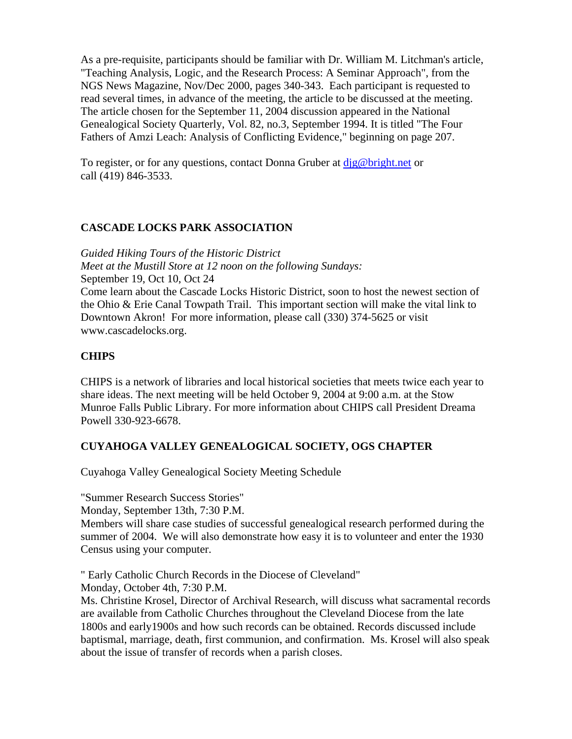As a pre-requisite, participants should be familiar with Dr. William M. Litchman's article, "Teaching Analysis, Logic, and the Research Process: A Seminar Approach", from the NGS News Magazine, Nov/Dec 2000, pages 340-343. Each participant is requested to read several times, in advance of the meeting, the article to be discussed at the meeting. The article chosen for the September 11, 2004 discussion appeared in the National Genealogical Society Quarterly, Vol. 82, no.3, September 1994. It is titled "The Four Fathers of Amzi Leach: Analysis of Conflicting Evidence," beginning on page 207.

To register, or for any questions, contact Donna Gruber at [djg@bright.net](mailto:djg@bright.net) or call (419) 846-3533.

#### **CASCADE LOCKS PARK ASSOCIATION**

*Guided Hiking Tours of the Historic District Meet at the Mustill Store at 12 noon on the following Sundays:* September 19, Oct 10, Oct 24 Come learn about the Cascade Locks Historic District, soon to host the newest section of the Ohio & Erie Canal Towpath Trail. This important section will make the vital link to Downtown Akron! For more information, please call (330) 374-5625 or visit www.cascadelocks.org.

#### **CHIPS**

CHIPS is a network of libraries and local historical societies that meets twice each year to share ideas. The next meeting will be held October 9, 2004 at 9:00 a.m. at the Stow Munroe Falls Public Library. For more information about CHIPS call President Dreama Powell 330-923-6678.

## **CUYAHOGA VALLEY GENEALOGICAL SOCIETY, OGS CHAPTER**

Cuyahoga Valley Genealogical Society Meeting Schedule

"Summer Research Success Stories"

Monday, September 13th, 7:30 P.M.

Members will share case studies of successful genealogical research performed during the summer of 2004. We will also demonstrate how easy it is to volunteer and enter the 1930 Census using your computer.

" Early Catholic Church Records in the Diocese of Cleveland"

Monday, October 4th, 7:30 P.M.

Ms. Christine Krosel, Director of Archival Research, will discuss what sacramental records are available from Catholic Churches throughout the Cleveland Diocese from the late 1800s and early1900s and how such records can be obtained. Records discussed include baptismal, marriage, death, first communion, and confirmation. Ms. Krosel will also speak about the issue of transfer of records when a parish closes.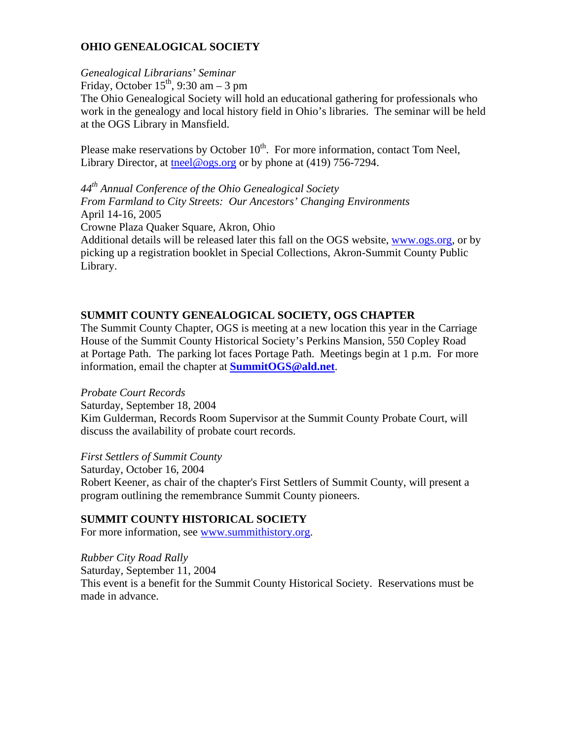## **OHIO GENEALOGICAL SOCIETY**

#### *Genealogical Librarians' Seminar*

Friday, October  $15<sup>th</sup>$ , 9:30 am – 3 pm

The Ohio Genealogical Society will hold an educational gathering for professionals who work in the genealogy and local history field in Ohio's libraries. The seminar will be held at the OGS Library in Mansfield.

Please make reservations by October  $10^{th}$ . For more information, contact Tom Neel, Library Director, at the el@ogs.org or by phone at (419) 756-7294.

*44th Annual Conference of the Ohio Genealogical Society From Farmland to City Streets: Our Ancestors' Changing Environments* April 14-16, 2005 Crowne Plaza Quaker Square, Akron, Ohio Additional details will be released later this fall on the OGS website, [www.ogs.org,](http://www.ogs.org/) or by picking up a registration booklet in Special Collections, Akron-Summit County Public Library.

## **SUMMIT COUNTY GENEALOGICAL SOCIETY, OGS CHAPTER**

The Summit County Chapter, OGS is meeting at a new location this year in the Carriage House of the Summit County Historical Society's Perkins Mansion, 550 Copley Road at Portage Path. The parking lot faces Portage Path. Meetings begin at 1 p.m. For more information, email the chapter at **[SummitOGS@ald.net](mailto:SummitOGS@ald.net)**.

#### *Probate Court Records*

Saturday, September 18, 2004

Kim Gulderman, Records Room Supervisor at the Summit County Probate Court, will discuss the availability of probate court records.

*First Settlers of Summit County*

Saturday, October 16, 2004 Robert Keener, as chair of the chapter's First Settlers of Summit County, will present a program outlining the remembrance Summit County pioneers.

## **SUMMIT COUNTY HISTORICAL SOCIETY**

For more information, see [www.summithistory.org](http://www.summithistory.org/).

*Rubber City Road Rally*  Saturday, September 11, 2004 This event is a benefit for the Summit County Historical Society. Reservations must be made in advance.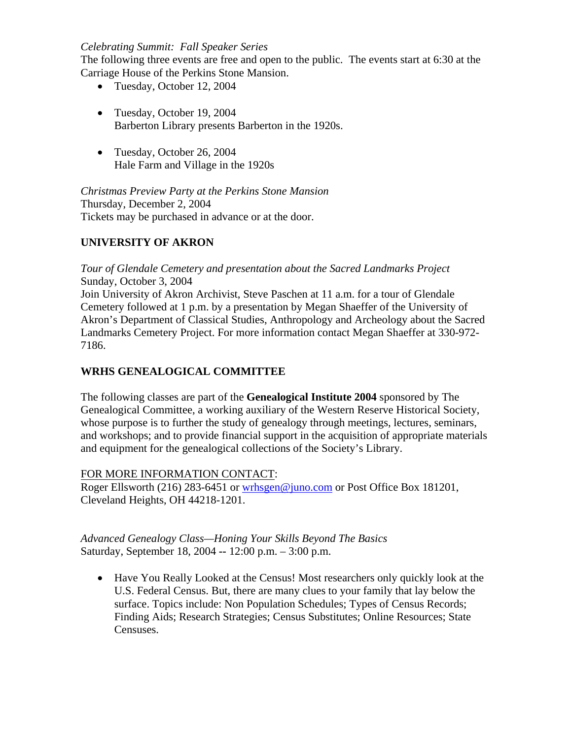#### *Celebrating Summit: Fall Speaker Series*

The following three events are free and open to the public. The events start at 6:30 at the Carriage House of the Perkins Stone Mansion.

- Tuesday, October 12, 2004
- Tuesday, October 19, 2004 Barberton Library presents Barberton in the 1920s.
- Tuesday, October 26, 2004 Hale Farm and Village in the 1920s

*Christmas Preview Party at the Perkins Stone Mansion* Thursday, December 2, 2004 Tickets may be purchased in advance or at the door.

## **UNIVERSITY OF AKRON**

*Tour of Glendale Cemetery and presentation about the Sacred Landmarks Project*  Sunday, October 3, 2004 Join University of Akron Archivist, Steve Paschen at 11 a.m. for a tour of Glendale Cemetery followed at 1 p.m. by a presentation by Megan Shaeffer of the University of Akron's Department of Classical Studies, Anthropology and Archeology about the Sacred Landmarks Cemetery Project. For more information contact Megan Shaeffer at 330-972- 7186.

## **WRHS GENEALOGICAL COMMITTEE**

The following classes are part of the **Genealogical Institute 2004** sponsored by The Genealogical Committee, a working auxiliary of the Western Reserve Historical Society, whose purpose is to further the study of genealogy through meetings, lectures, seminars, and workshops; and to provide financial support in the acquisition of appropriate materials and equipment for the genealogical collections of the Society's Library.

## FOR MORE INFORMATION CONTACT:

Roger Ellsworth (216) 283-6451 or [wrhsgen@juno.com](mailto:wrhsgen@juno.com) or Post Office Box 181201, Cleveland Heights, OH 44218-1201.

*Advanced Genealogy Class—Honing Your Skills Beyond The Basics*  Saturday, September 18, 2004 **--** 12:00 p.m. – 3:00 p.m.

• Have You Really Looked at the Census! Most researchers only quickly look at the U.S. Federal Census. But, there are many clues to your family that lay below the surface. Topics include: Non Population Schedules; Types of Census Records; Finding Aids; Research Strategies; Census Substitutes; Online Resources; State Censuses.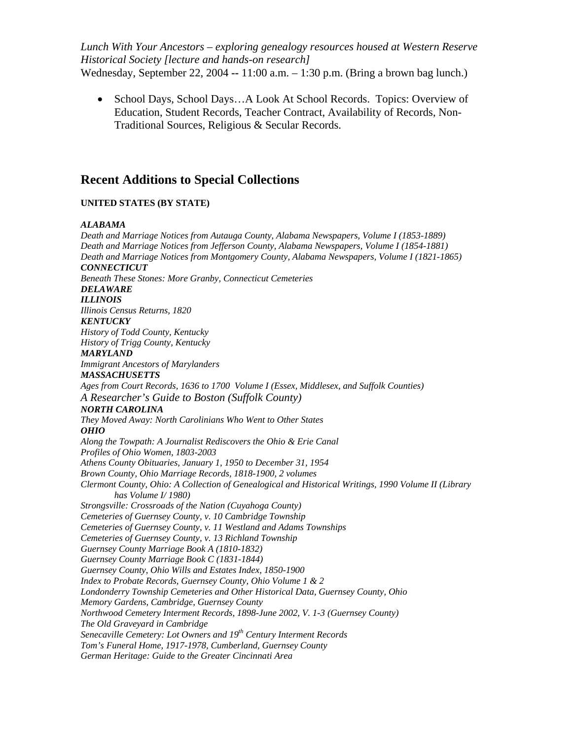*Lunch With Your Ancestors – exploring genealogy resources housed at Western Reserve Historical Society [lecture and hands-on research]* Wednesday, September 22, 2004 **--** 11:00 a.m. – 1:30 p.m. (Bring a brown bag lunch.)

• School Days, School Days…A Look At School Records.Topics: Overview of Education, Student Records, Teacher Contract, Availability of Records, Non-Traditional Sources, Religious & Secular Records.

## **Recent Additions to Special Collections**

#### **UNITED STATES (BY STATE)**

#### *ALABAMA*

*Death and Marriage Notices from Autauga County, Alabama Newspapers, Volume I (1853-1889) Death and Marriage Notices from Jefferson County, Alabama Newspapers, Volume I (1854-1881) Death and Marriage Notices from Montgomery County, Alabama Newspapers, Volume I (1821-1865) CONNECTICUT Beneath These Stones: More Granby, Connecticut Cemeteries DELAWARE ILLINOIS Illinois Census Returns, 1820 KENTUCKY History of Todd County, Kentucky History of Trigg County, Kentucky MARYLAND Immigrant Ancestors of Marylanders MASSACHUSETTS Ages from Court Records, 1636 to 1700 Volume I (Essex, Middlesex, and Suffolk Counties) A Researcher's Guide to Boston (Suffolk County) NORTH CAROLINA They Moved Away: North Carolinians Who Went to Other States OHIO Along the Towpath: A Journalist Rediscovers the Ohio & Erie Canal Profiles of Ohio Women, 1803-2003 Athens County Obituaries, January 1, 1950 to December 31, 1954 Brown County, Ohio Marriage Records, 1818-1900, 2 volumes Clermont County, Ohio: A Collection of Genealogical and Historical Writings, 1990 Volume II (Library has Volume I/ 1980) Strongsville: Crossroads of the Nation (Cuyahoga County) Cemeteries of Guernsey County, v. 10 Cambridge Township Cemeteries of Guernsey County, v. 11 Westland and Adams Townships Cemeteries of Guernsey County, v. 13 Richland Township Guernsey County Marriage Book A (1810-1832) Guernsey County Marriage Book C (1831-1844) Guernsey County, Ohio Wills and Estates Index, 1850-1900 Index to Probate Records, Guernsey County, Ohio Volume 1 & 2 Londonderry Township Cemeteries and Other Historical Data, Guernsey County, Ohio Memory Gardens, Cambridge, Guernsey County Northwood Cemetery Interment Records, 1898-June 2002, V. 1-3 (Guernsey County) The Old Graveyard in Cambridge Senecaville Cemetery: Lot Owners and 19<sup>th</sup> Century Interment Records Tom's Funeral Home, 1917-1978, Cumberland, Guernsey County German Heritage: Guide to the Greater Cincinnati Area*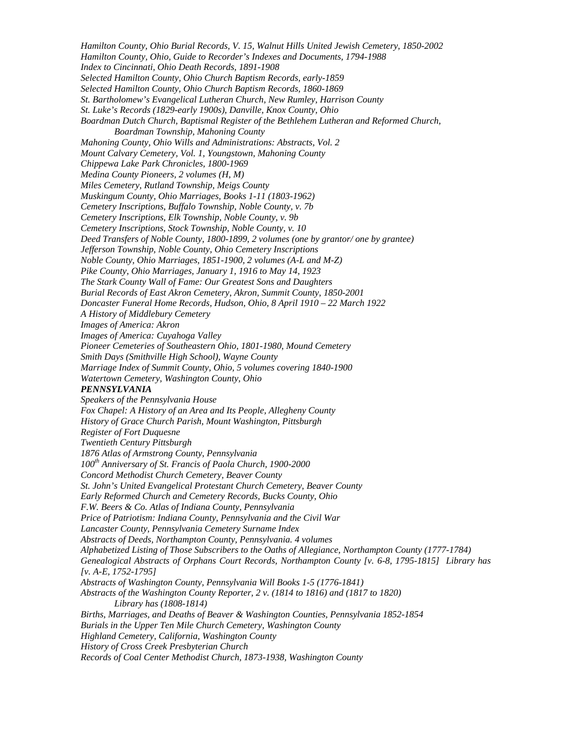*Hamilton County, Ohio Burial Records, V. 15, Walnut Hills United Jewish Cemetery, 1850-2002 Hamilton County, Ohio, Guide to Recorder's Indexes and Documents, 1794-1988 Index to Cincinnati, Ohio Death Records, 1891-1908 Selected Hamilton County, Ohio Church Baptism Records, early-1859 Selected Hamilton County, Ohio Church Baptism Records, 1860-1869 St. Bartholomew's Evangelical Lutheran Church, New Rumley, Harrison County St. Luke's Records (1829-early 1900s), Danville, Knox County, Ohio Boardman Dutch Church, Baptismal Register of the Bethlehem Lutheran and Reformed Church, Boardman Township, Mahoning County Mahoning County, Ohio Wills and Administrations: Abstracts, Vol. 2 Mount Calvary Cemetery, Vol. 1, Youngstown, Mahoning County Chippewa Lake Park Chronicles, 1800-1969 Medina County Pioneers, 2 volumes (H, M) Miles Cemetery, Rutland Township, Meigs County Muskingum County, Ohio Marriages, Books 1-11 (1803-1962) Cemetery Inscriptions, Buffalo Township, Noble County, v. 7b Cemetery Inscriptions, Elk Township, Noble County, v. 9b Cemetery Inscriptions, Stock Township, Noble County, v. 10 Deed Transfers of Noble County, 1800-1899, 2 volumes (one by grantor/ one by grantee) Jefferson Township, Noble County, Ohio Cemetery Inscriptions Noble County, Ohio Marriages, 1851-1900, 2 volumes (A-L and M-Z) Pike County, Ohio Marriages, January 1, 1916 to May 14, 1923 The Stark County Wall of Fame: Our Greatest Sons and Daughters Burial Records of East Akron Cemetery, Akron, Summit County, 1850-2001 Doncaster Funeral Home Records, Hudson, Ohio, 8 April 1910 – 22 March 1922 A History of Middlebury Cemetery Images of America: Akron Images of America: Cuyahoga Valley Pioneer Cemeteries of Southeastern Ohio, 1801-1980, Mound Cemetery Smith Days (Smithville High School), Wayne County Marriage Index of Summit County, Ohio, 5 volumes covering 1840-1900 Watertown Cemetery, Washington County, Ohio PENNSYLVANIA Speakers of the Pennsylvania House Fox Chapel: A History of an Area and Its People, Allegheny County History of Grace Church Parish, Mount Washington, Pittsburgh Register of Fort Duquesne Twentieth Century Pittsburgh 1876 Atlas of Armstrong County, Pennsylvania 100th Anniversary of St. Francis of Paola Church, 1900-2000 Concord Methodist Church Cemetery, Beaver County St. John's United Evangelical Protestant Church Cemetery, Beaver County Early Reformed Church and Cemetery Records, Bucks County, Ohio F.W. Beers & Co. Atlas of Indiana County, Pennsylvania Price of Patriotism: Indiana County, Pennsylvania and the Civil War Lancaster County, Pennsylvania Cemetery Surname Index Abstracts of Deeds, Northampton County, Pennsylvania. 4 volumes Alphabetized Listing of Those Subscribers to the Oaths of Allegiance, Northampton County (1777-1784) Genealogical Abstracts of Orphans Court Records, Northampton County [v. 6-8, 1795-1815] Library has [v. A-E, 1752-1795] Abstracts of Washington County, Pennsylvania Will Books 1-5 (1776-1841) Abstracts of the Washington County Reporter, 2 v. (1814 to 1816) and (1817 to 1820) Library has (1808-1814) Births, Marriages, and Deaths of Beaver & Washington Counties, Pennsylvania 1852-1854 Burials in the Upper Ten Mile Church Cemetery, Washington County Highland Cemetery, California, Washington County History of Cross Creek Presbyterian Church Records of Coal Center Methodist Church, 1873-1938, Washington County*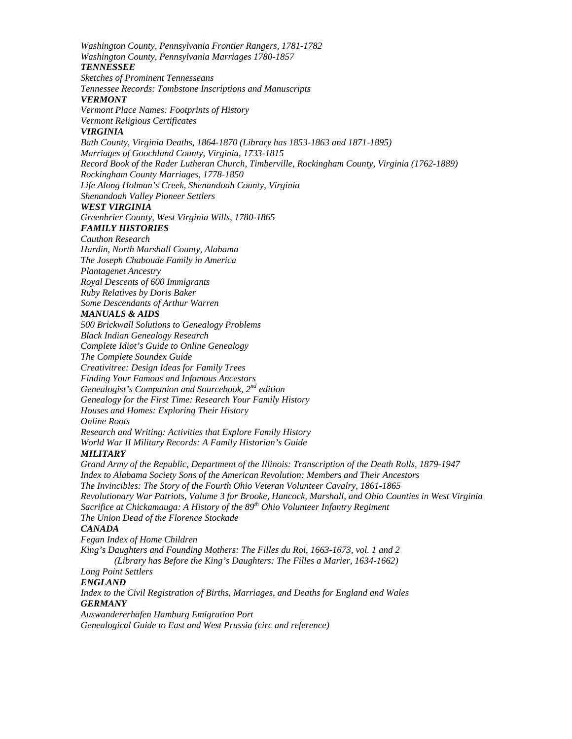*Washington County, Pennsylvania Frontier Rangers, 1781-1782 Washington County, Pennsylvania Marriages 1780-1857 TENNESSEE Sketches of Prominent Tennesseans Tennessee Records: Tombstone Inscriptions and Manuscripts VERMONT Vermont Place Names: Footprints of History Vermont Religious Certificates VIRGINIA Bath County, Virginia Deaths, 1864-1870 (Library has 1853-1863 and 1871-1895) Marriages of Goochland County, Virginia, 1733-1815 Record Book of the Rader Lutheran Church, Timberville, Rockingham County, Virginia (1762-1889) Rockingham County Marriages, 1778-1850 Life Along Holman's Creek, Shenandoah County, Virginia Shenandoah Valley Pioneer Settlers WEST VIRGINIA Greenbrier County, West Virginia Wills, 1780-1865 FAMILY HISTORIES Cauthon Research Hardin, North Marshall County, Alabama The Joseph Chaboude Family in America Plantagenet Ancestry Royal Descents of 600 Immigrants Ruby Relatives by Doris Baker Some Descendants of Arthur Warren MANUALS & AIDS 500 Brickwall Solutions to Genealogy Problems Black Indian Genealogy Research Complete Idiot's Guide to Online Genealogy The Complete Soundex Guide Creativitree: Design Ideas for Family Trees Finding Your Famous and Infamous Ancestors Genealogist's Companion and Sourcebook, 2nd edition Genealogy for the First Time: Research Your Family History Houses and Homes: Exploring Their History Online Roots Research and Writing: Activities that Explore Family History World War II Military Records: A Family Historian's Guide MILITARY Grand Army of the Republic, Department of the Illinois: Transcription of the Death Rolls, 1879-1947 Index to Alabama Society Sons of the American Revolution: Members and Their Ancestors The Invincibles: The Story of the Fourth Ohio Veteran Volunteer Cavalry, 1861-1865 Revolutionary War Patriots, Volume 3 for Brooke, Hancock, Marshall, and Ohio Counties in West Virginia Sacrifice at Chickamauga: A History of the 89<sup>th</sup> Ohio Volunteer Infantry Regiment The Union Dead of the Florence Stockade CANADA Fegan Index of Home Children King's Daughters and Founding Mothers: The Filles du Roi, 1663-1673, vol. 1 and 2 (Library has Before the King's Daughters: The Filles a Marier, 1634-1662) Long Point Settlers ENGLAND Index to the Civil Registration of Births, Marriages, and Deaths for England and Wales GERMANY Auswandererhafen Hamburg Emigration Port* 

*Genealogical Guide to East and West Prussia (circ and reference)*